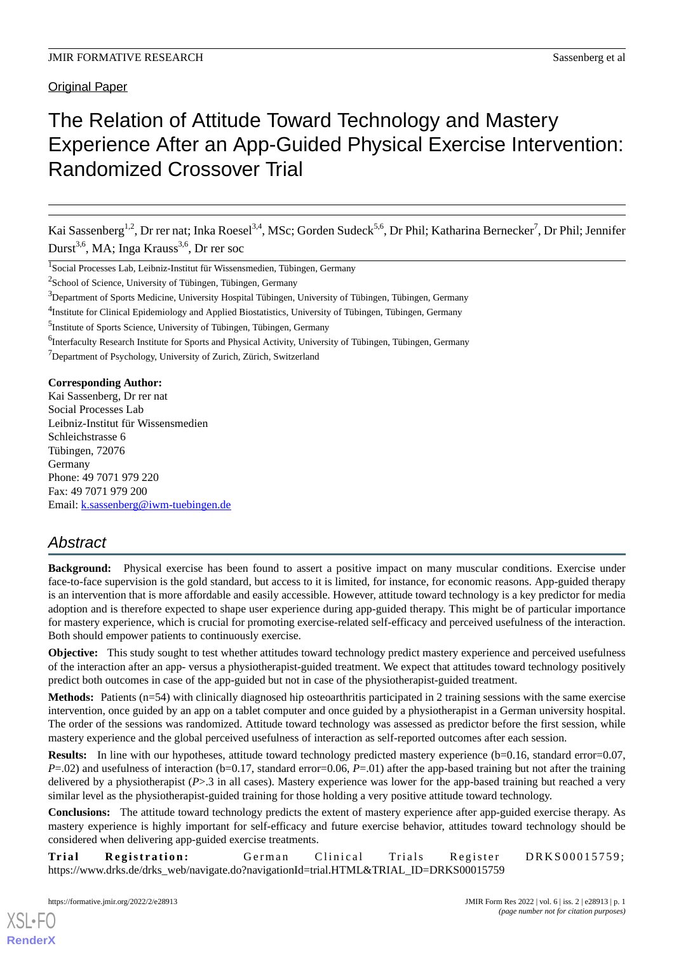Original Paper

# The Relation of Attitude Toward Technology and Mastery Experience After an App-Guided Physical Exercise Intervention: Randomized Crossover Trial

Kai Sassenberg<sup>1,2</sup>, Dr rer nat; Inka Roesel<sup>3,4</sup>, MSc; Gorden Sudeck<sup>5,6</sup>, Dr Phil; Katharina Bernecker<sup>7</sup>, Dr Phil; Jennifer Durst<sup>3,6</sup>, MA; Inga Krauss<sup>3,6</sup>, Dr rer soc

<sup>1</sup>Social Processes Lab, Leibniz-Institut für Wissensmedien, Tübingen, Germany

<sup>2</sup>School of Science, University of Tübingen, Tübingen, Germany

<sup>3</sup>Department of Sports Medicine, University Hospital Tübingen, University of Tübingen, Tübingen, Germany

<sup>4</sup>Institute for Clinical Epidemiology and Applied Biostatistics, University of Tübingen, Tübingen, Germany

<sup>5</sup>Institute of Sports Science, University of Tübingen, Tübingen, Germany

<sup>6</sup>Interfaculty Research Institute for Sports and Physical Activity, University of Tübingen, Tübingen, Germany <sup>7</sup>Department of Psychology, University of Zurich, Zürich, Switzerland

**Corresponding Author:**

Kai Sassenberg, Dr rer nat Social Processes Lab Leibniz-Institut für Wissensmedien Schleichstrasse 6 Tübingen, 72076 Germany Phone: 49 7071 979 220 Fax: 49 7071 979 200 Email: [k.sassenberg@iwm-tuebingen.de](mailto:k.sassenberg@iwm-tuebingen.de)

## *Abstract*

**Background:** Physical exercise has been found to assert a positive impact on many muscular conditions. Exercise under face-to-face supervision is the gold standard, but access to it is limited, for instance, for economic reasons. App-guided therapy is an intervention that is more affordable and easily accessible. However, attitude toward technology is a key predictor for media adoption and is therefore expected to shape user experience during app-guided therapy. This might be of particular importance for mastery experience, which is crucial for promoting exercise-related self-efficacy and perceived usefulness of the interaction. Both should empower patients to continuously exercise.

**Objective:** This study sought to test whether attitudes toward technology predict mastery experience and perceived usefulness of the interaction after an app- versus a physiotherapist-guided treatment. We expect that attitudes toward technology positively predict both outcomes in case of the app-guided but not in case of the physiotherapist-guided treatment.

**Methods:** Patients (n=54) with clinically diagnosed hip osteoarthritis participated in 2 training sessions with the same exercise intervention, once guided by an app on a tablet computer and once guided by a physiotherapist in a German university hospital. The order of the sessions was randomized. Attitude toward technology was assessed as predictor before the first session, while mastery experience and the global perceived usefulness of interaction as self-reported outcomes after each session.

**Results:** In line with our hypotheses, attitude toward technology predicted mastery experience (b=0.16, standard error=0.07, *P*=.02) and usefulness of interaction (b=0.17, standard error=0.06, *P*=.01) after the app-based training but not after the training delivered by a physiotherapist (*P*>.3 in all cases). Mastery experience was lower for the app-based training but reached a very similar level as the physiotherapist-guided training for those holding a very positive attitude toward technology.

**Conclusions:** The attitude toward technology predicts the extent of mastery experience after app-guided exercise therapy. As mastery experience is highly important for self-efficacy and future exercise behavior, attitudes toward technology should be considered when delivering app-guided exercise treatments.

**Trial Registration:** German Clinical Trials Register DRKS00015759; https://www.drks.de/drks\_web/navigate.do?navigationId=trial.HTML&TRIAL\_ID=DRKS00015759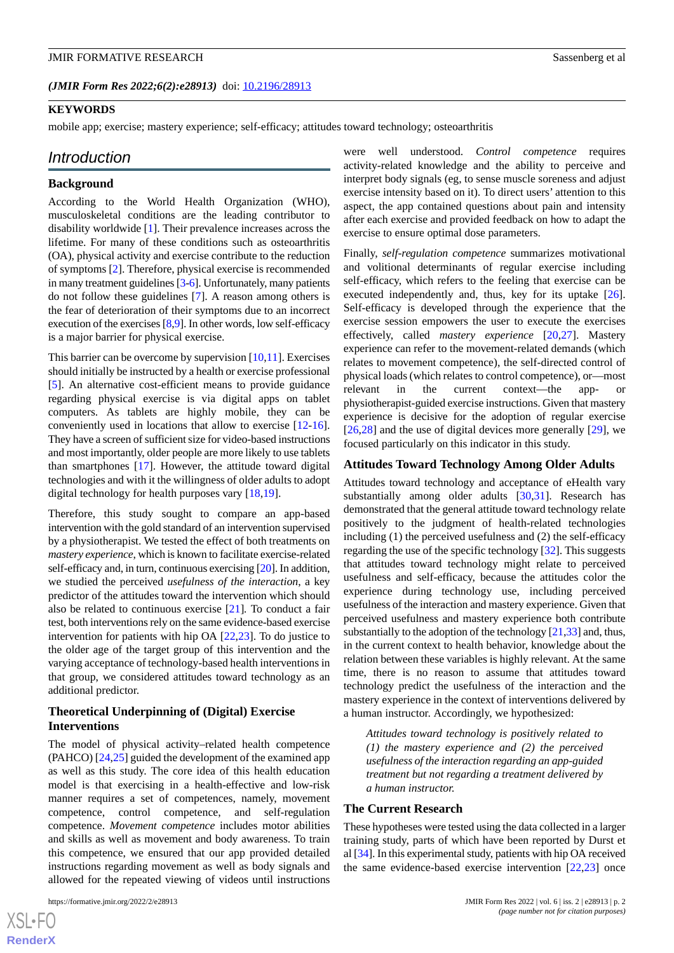#### **KEYWORDS**

mobile app; exercise; mastery experience; self-efficacy; attitudes toward technology; osteoarthritis

#### *Introduction*

#### **Background**

According to the World Health Organization (WHO), musculoskeletal conditions are the leading contributor to disability worldwide [\[1\]](#page-8-0). Their prevalence increases across the lifetime. For many of these conditions such as osteoarthritis (OA), physical activity and exercise contribute to the reduction of symptoms [[2](#page-8-1)]. Therefore, physical exercise is recommended in many treatment guidelines [\[3](#page-8-2)[-6](#page-8-3)]. Unfortunately, many patients do not follow these guidelines [[7\]](#page-8-4). A reason among others is the fear of deterioration of their symptoms due to an incorrect execution of the exercises [[8](#page-8-5)[,9](#page-8-6)]. In other words, low self-efficacy is a major barrier for physical exercise.

This barrier can be overcome by supervision  $[10,11]$  $[10,11]$  $[10,11]$ . Exercises should initially be instructed by a health or exercise professional [[5\]](#page-8-9). An alternative cost-efficient means to provide guidance regarding physical exercise is via digital apps on tablet computers. As tablets are highly mobile, they can be conveniently used in locations that allow to exercise [\[12](#page-8-10)-[16\]](#page-9-0). They have a screen of sufficient size for video-based instructions and most importantly, older people are more likely to use tablets than smartphones [[17\]](#page-9-1). However, the attitude toward digital technologies and with it the willingness of older adults to adopt digital technology for health purposes vary [\[18](#page-9-2)[,19](#page-9-3)].

Therefore, this study sought to compare an app-based intervention with the gold standard of an intervention supervised by a physiotherapist. We tested the effect of both treatments on *mastery experience*, which is known to facilitate exercise-related self-efficacy and, in turn, continuous exercising [\[20\]](#page-9-4). In addition, we studied the perceived *usefulness of the interaction*, a key predictor of the attitudes toward the intervention which should also be related to continuous exercise [\[21](#page-9-5)]*.* To conduct a fair test, both interventions rely on the same evidence-based exercise intervention for patients with hip OA [\[22](#page-9-6)[,23](#page-9-7)]. To do justice to the older age of the target group of this intervention and the varying acceptance of technology-based health interventions in that group, we considered attitudes toward technology as an additional predictor.

#### **Theoretical Underpinning of (Digital) Exercise Interventions**

The model of physical activity–related health competence (PAHCO) [[24,](#page-9-8)[25\]](#page-9-9) guided the development of the examined app as well as this study. The core idea of this health education model is that exercising in a health-effective and low-risk manner requires a set of competences, namely, movement competence, control competence, and self-regulation competence. *Movement competence* includes motor abilities and skills as well as movement and body awareness. To train this competence, we ensured that our app provided detailed instructions regarding movement as well as body signals and allowed for the repeated viewing of videos until instructions

were well understood. *Control competence* requires activity-related knowledge and the ability to perceive and interpret body signals (eg, to sense muscle soreness and adjust exercise intensity based on it). To direct users' attention to this aspect, the app contained questions about pain and intensity after each exercise and provided feedback on how to adapt the exercise to ensure optimal dose parameters.

Finally, *self-regulation competence* summarizes motivational and volitional determinants of regular exercise including self-efficacy, which refers to the feeling that exercise can be executed independently and, thus, key for its uptake [[26\]](#page-9-10). Self-efficacy is developed through the experience that the exercise session empowers the user to execute the exercises effectively, called *mastery experience* [\[20](#page-9-4),[27\]](#page-9-11). Mastery experience can refer to the movement-related demands (which relates to movement competence), the self-directed control of physical loads (which relates to control competence), or—most relevant in the current context—the app- or physiotherapist-guided exercise instructions. Given that mastery experience is decisive for the adoption of regular exercise [[26,](#page-9-10)[28\]](#page-9-12) and the use of digital devices more generally [\[29](#page-9-13)], we focused particularly on this indicator in this study.

#### **Attitudes Toward Technology Among Older Adults**

Attitudes toward technology and acceptance of eHealth vary substantially among older adults [\[30](#page-9-14),[31\]](#page-9-15). Research has demonstrated that the general attitude toward technology relate positively to the judgment of health-related technologies including (1) the perceived usefulness and (2) the self-efficacy regarding the use of the specific technology [\[32](#page-9-16)]. This suggests that attitudes toward technology might relate to perceived usefulness and self-efficacy, because the attitudes color the experience during technology use, including perceived usefulness of the interaction and mastery experience. Given that perceived usefulness and mastery experience both contribute substantially to the adoption of the technology  $[21,33]$  $[21,33]$  $[21,33]$  and, thus, in the current context to health behavior, knowledge about the relation between these variables is highly relevant. At the same time, there is no reason to assume that attitudes toward technology predict the usefulness of the interaction and the mastery experience in the context of interventions delivered by a human instructor. Accordingly, we hypothesized:

*Attitudes toward technology is positively related to (1) the mastery experience and (2) the perceived usefulness of the interaction regarding an app-guided treatment but not regarding a treatment delivered by a human instructor.*

#### **The Current Research**

These hypotheses were tested using the data collected in a larger training study, parts of which have been reported by Durst et al [[34\]](#page-9-18). In this experimental study, patients with hip OA received the same evidence-based exercise intervention [[22,](#page-9-6)[23](#page-9-7)] once

 $XS$  $\cdot$ FC **[RenderX](http://www.renderx.com/)**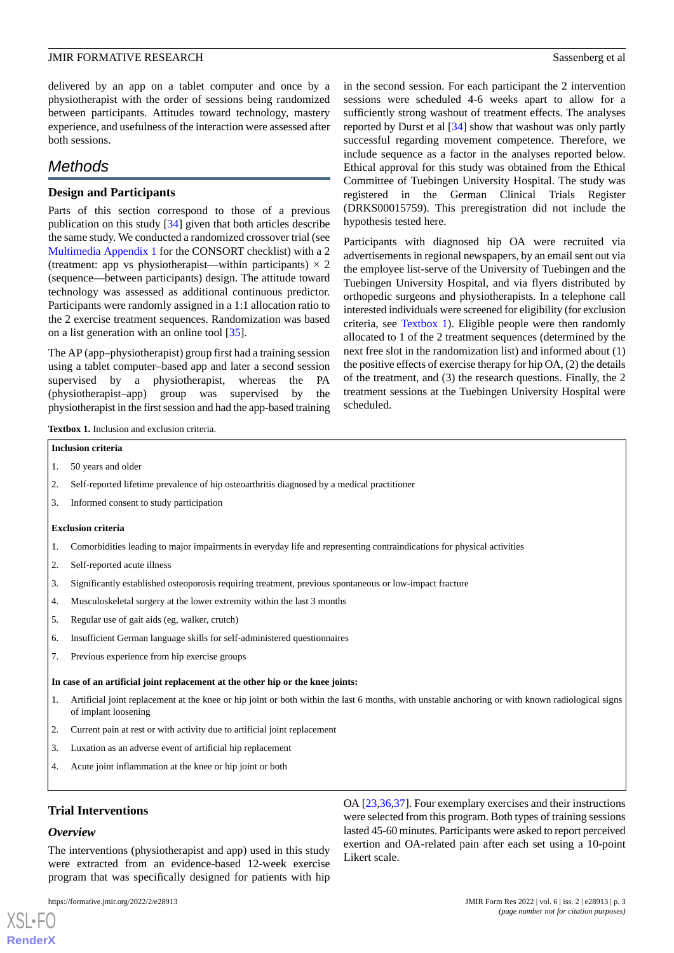delivered by an app on a tablet computer and once by a physiotherapist with the order of sessions being randomized between participants. Attitudes toward technology, mastery experience, and usefulness of the interaction were assessed after both sessions.

### *Methods*

#### **Design and Participants**

Parts of this section correspond to those of a previous publication on this study [[34\]](#page-9-18) given that both articles describe the same study. We conducted a randomized crossover trial (see [Multimedia Appendix 1](#page-8-11) for the CONSORT checklist) with a 2 (treatment: app vs physiotherapist—within participants)  $\times$  2 (sequence—between participants) design. The attitude toward technology was assessed as additional continuous predictor. Participants were randomly assigned in a 1:1 allocation ratio to the 2 exercise treatment sequences. Randomization was based on a list generation with an online tool [\[35](#page-9-19)].

<span id="page-2-0"></span>The AP (app–physiotherapist) group first had a training session using a tablet computer–based app and later a second session supervised by a physiotherapist, whereas the PA (physiotherapist–app) group was supervised by the physiotherapist in the first session and had the app-based training

in the second session. For each participant the 2 intervention sessions were scheduled 4-6 weeks apart to allow for a sufficiently strong washout of treatment effects. The analyses reported by Durst et al [\[34](#page-9-18)] show that washout was only partly successful regarding movement competence. Therefore, we include sequence as a factor in the analyses reported below. Ethical approval for this study was obtained from the Ethical Committee of Tuebingen University Hospital. The study was registered in the German Clinical Trials Register (DRKS00015759). This preregistration did not include the hypothesis tested here.

Participants with diagnosed hip OA were recruited via advertisements in regional newspapers, by an email sent out via the employee list-serve of the University of Tuebingen and the Tuebingen University Hospital, and via flyers distributed by orthopedic surgeons and physiotherapists. In a telephone call interested individuals were screened for eligibility (for exclusion criteria, see [Textbox 1\)](#page-2-0). Eligible people were then randomly allocated to 1 of the 2 treatment sequences (determined by the next free slot in the randomization list) and informed about (1) the positive effects of exercise therapy for hip OA, (2) the details of the treatment, and (3) the research questions. Finally, the 2 treatment sessions at the Tuebingen University Hospital were scheduled.

**Textbox 1.** Inclusion and exclusion criteria.

#### **Inclusion criteria**

- 1. 50 years and older
- 2. Self-reported lifetime prevalence of hip osteoarthritis diagnosed by a medical practitioner
- 3. Informed consent to study participation

#### **Exclusion criteria**

- 1. Comorbidities leading to major impairments in everyday life and representing contraindications for physical activities
- 2. Self-reported acute illness
- 3. Significantly established osteoporosis requiring treatment, previous spontaneous or low-impact fracture
- 4. Musculoskeletal surgery at the lower extremity within the last 3 months
- 5. Regular use of gait aids (eg, walker, crutch)
- 6. Insufficient German language skills for self-administered questionnaires
- 7. Previous experience from hip exercise groups

#### **In case of an artificial joint replacement at the other hip or the knee joints:**

- 1. Artificial joint replacement at the knee or hip joint or both within the last 6 months, with unstable anchoring or with known radiological signs of implant loosening
- 2. Current pain at rest or with activity due to artificial joint replacement
- 3. Luxation as an adverse event of artificial hip replacement
- 4. Acute joint inflammation at the knee or hip joint or both

#### **Trial Interventions**

#### *Overview*

 $X$ SL•F $C$ **[RenderX](http://www.renderx.com/)**

The interventions (physiotherapist and app) used in this study were extracted from an evidence-based 12-week exercise program that was specifically designed for patients with hip

OA [\[23](#page-9-7),[36,](#page-10-0)[37](#page-10-1)]. Four exemplary exercises and their instructions were selected from this program. Both types of training sessions lasted 45-60 minutes. Participants were asked to report perceived exertion and OA-related pain after each set using a 10-point Likert scale.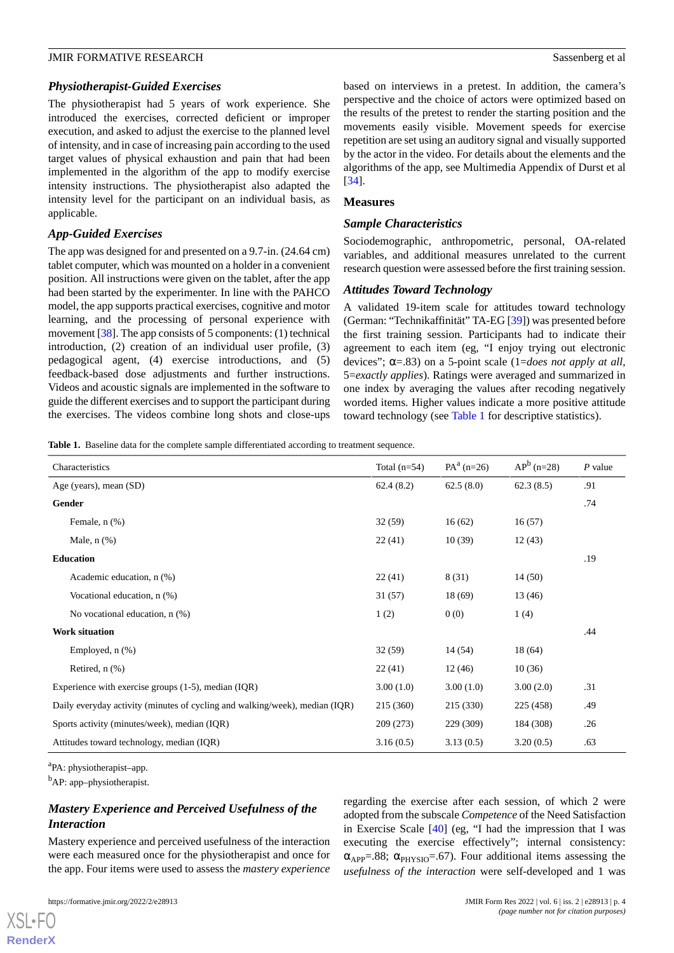#### *Physiotherapist-Guided Exercises*

The physiotherapist had 5 years of work experience. She introduced the exercises, corrected deficient or improper execution, and asked to adjust the exercise to the planned level of intensity, and in case of increasing pain according to the used target values of physical exhaustion and pain that had been implemented in the algorithm of the app to modify exercise intensity instructions. The physiotherapist also adapted the intensity level for the participant on an individual basis, as applicable.

#### *App-Guided Exercises*

The app was designed for and presented on a 9.7-in. (24.64 cm) tablet computer, which was mounted on a holder in a convenient position. All instructions were given on the tablet, after the app had been started by the experimenter. In line with the PAHCO model, the app supports practical exercises, cognitive and motor learning, and the processing of personal experience with movement [\[38](#page-10-2)]. The app consists of 5 components: (1) technical introduction, (2) creation of an individual user profile, (3) pedagogical agent, (4) exercise introductions, and (5) feedback-based dose adjustments and further instructions. Videos and acoustic signals are implemented in the software to guide the different exercises and to support the participant during the exercises. The videos combine long shots and close-ups

based on interviews in a pretest. In addition, the camera's perspective and the choice of actors were optimized based on the results of the pretest to render the starting position and the movements easily visible. Movement speeds for exercise repetition are set using an auditory signal and visually supported by the actor in the video. For details about the elements and the algorithms of the app, see Multimedia Appendix of Durst et al [[34\]](#page-9-18).

#### **Measures**

#### *Sample Characteristics*

Sociodemographic, anthropometric, personal, OA-related variables, and additional measures unrelated to the current research question were assessed before the first training session.

#### *Attitudes Toward Technology*

A validated 19-item scale for attitudes toward technology (German: "Technikaffinität" TA-EG [[39\]](#page-10-3)) was presented before the first training session. Participants had to indicate their agreement to each item (eg, "I enjoy trying out electronic devices"; α=.83) on a 5-point scale (1=*does not apply at all*, 5=*exactly applies*). Ratings were averaged and summarized in one index by averaging the values after recoding negatively worded items. Higher values indicate a more positive attitude toward technology (see [Table 1](#page-3-0) for descriptive statistics).

<span id="page-3-0"></span>**Table 1.** Baseline data for the complete sample differentiated according to treatment sequence.

| Characteristics                                                             | Total $(n=54)$ | $PA^{a}$ (n=26) | $AP^b$ (n=28) | $P$ value |
|-----------------------------------------------------------------------------|----------------|-----------------|---------------|-----------|
| Age (years), mean (SD)                                                      | 62.4(8.2)      | 62.5(8.0)       | 62.3(8.5)     | .91       |
| Gender                                                                      |                |                 |               | .74       |
| Female, n (%)                                                               | 32(59)         | 16(62)          | 16(57)        |           |
| Male, $n$ $(\%)$                                                            | 22(41)         | 10(39)          | 12(43)        |           |
| <b>Education</b>                                                            |                |                 |               | .19       |
| Academic education, n (%)                                                   | 22(41)         | 8 (31)          | 14(50)        |           |
| Vocational education, n (%)                                                 | 31(57)         | 18(69)          | 13(46)        |           |
| No vocational education, $n$ $(\%)$                                         | 1(2)           | 0(0)            | 1(4)          |           |
| <b>Work situation</b>                                                       |                |                 |               | .44       |
| Employed, $n$ $(\%)$                                                        | 32(59)         | 14 (54)         | 18(64)        |           |
| Retired, $n$ $(\%)$                                                         | 22(41)         | 12(46)          | 10(36)        |           |
| Experience with exercise groups $(1-5)$ , median $(IQR)$                    | 3.00(1.0)      | 3.00(1.0)       | 3.00(2.0)     | .31       |
| Daily everyday activity (minutes of cycling and walking/week), median (IQR) | 215 (360)      | 215 (330)       | 225 (458)     | .49       |
| Sports activity (minutes/week), median (IQR)                                | 209 (273)      | 229 (309)       | 184 (308)     | .26       |
| Attitudes toward technology, median (IQR)                                   | 3.16(0.5)      | 3.13(0.5)       | 3.20(0.5)     | .63       |

<sup>a</sup>PA: physiotherapist-app.

<sup>b</sup>AP: app–physiotherapist.

#### *Mastery Experience and Perceived Usefulness of the Interaction*

Mastery experience and perceived usefulness of the interaction were each measured once for the physiotherapist and once for the app. Four items were used to assess the *mastery experience*

regarding the exercise after each session, of which 2 were adopted from the subscale *Competence* of the Need Satisfaction in Exercise Scale [\[40](#page-10-4)] (eg, "I had the impression that I was executing the exercise effectively"; internal consistency:  $\alpha_{APP} = .88$ ;  $\alpha_{PHYSIO} = .67$ ). Four additional items assessing the *usefulness of the interaction* were self-developed and 1 was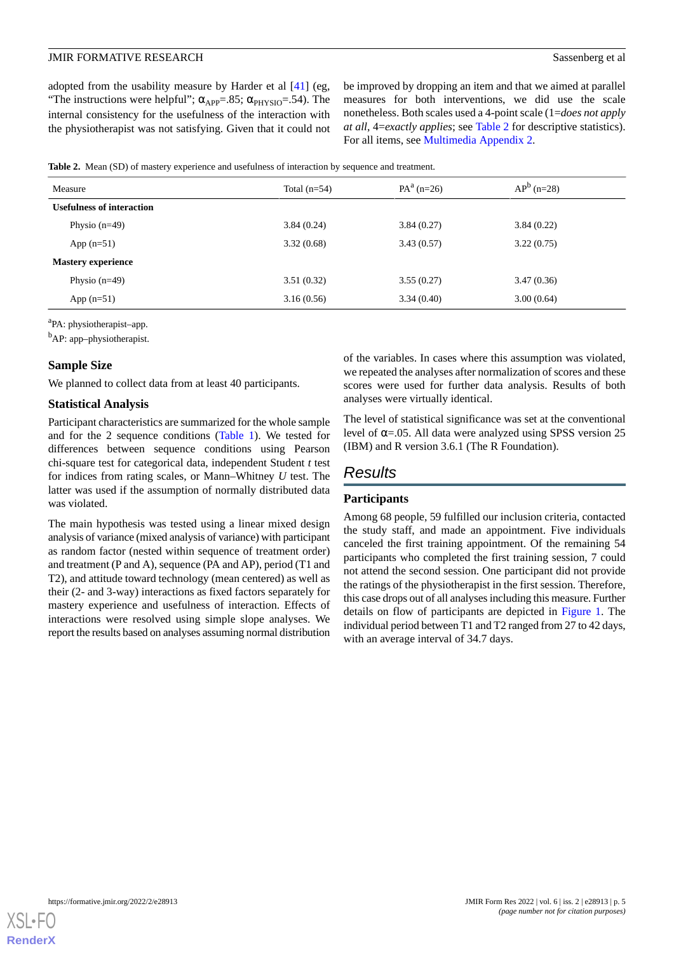adopted from the usability measure by Harder et al [[41\]](#page-10-5) (eg, "The instructions were helpful";  $\alpha_{APP} = .85$ ;  $\alpha_{PHYSIO} = .54$ ). The internal consistency for the usefulness of the interaction with the physiotherapist was not satisfying. Given that it could not be improved by dropping an item and that we aimed at parallel measures for both interventions, we did use the scale nonetheless. Both scales used a 4-point scale (1=*does not apply at all*, 4=*exactly applies*; see [Table 2](#page-4-0) for descriptive statistics). For all items, see [Multimedia Appendix 2](#page-8-12).

<span id="page-4-0"></span>

|  | Table 2. Mean (SD) of mastery experience and usefulness of interaction by sequence and treatment. |  |  |  |  |
|--|---------------------------------------------------------------------------------------------------|--|--|--|--|
|--|---------------------------------------------------------------------------------------------------|--|--|--|--|

| Measure                          | Total $(n=54)$ | $PA^{a}$ (n=26) | $AP^b$ (n=28) |  |
|----------------------------------|----------------|-----------------|---------------|--|
| <b>Usefulness of interaction</b> |                |                 |               |  |
| Physio $(n=49)$                  | 3.84(0.24)     | 3.84(0.27)      | 3.84(0.22)    |  |
| App $(n=51)$                     | 3.32(0.68)     | 3.43(0.57)      | 3.22(0.75)    |  |
| <b>Mastery experience</b>        |                |                 |               |  |
| Physio $(n=49)$                  | 3.51(0.32)     | 3.55(0.27)      | 3.47(0.36)    |  |
| App $(n=51)$                     | 3.16(0.56)     | 3.34(0.40)      | 3.00(0.64)    |  |
|                                  |                |                 |               |  |

<sup>a</sup>PA: physiotherapist-app.

 $<sup>b</sup>AP:$  app–physiotherapist.</sup>

#### **Sample Size**

We planned to collect data from at least 40 participants.

#### **Statistical Analysis**

Participant characteristics are summarized for the whole sample and for the 2 sequence conditions ([Table 1\)](#page-3-0). We tested for differences between sequence conditions using Pearson chi-square test for categorical data, independent Student *t* test for indices from rating scales, or Mann–Whitney *U* test. The latter was used if the assumption of normally distributed data was violated.

The main hypothesis was tested using a linear mixed design analysis of variance (mixed analysis of variance) with participant as random factor (nested within sequence of treatment order) and treatment (P and A), sequence (PA and AP), period (T1 and T2), and attitude toward technology (mean centered) as well as their (2- and 3-way) interactions as fixed factors separately for mastery experience and usefulness of interaction. Effects of interactions were resolved using simple slope analyses. We report the results based on analyses assuming normal distribution

of the variables. In cases where this assumption was violated, we repeated the analyses after normalization of scores and these scores were used for further data analysis. Results of both analyses were virtually identical.

The level of statistical significance was set at the conventional level of  $\alpha$ =.05. All data were analyzed using SPSS version 25 (IBM) and R version 3.6.1 (The R Foundation).

#### *Results*

#### **Participants**

Among 68 people, 59 fulfilled our inclusion criteria, contacted the study staff, and made an appointment. Five individuals canceled the first training appointment. Of the remaining 54 participants who completed the first training session, 7 could not attend the second session. One participant did not provide the ratings of the physiotherapist in the first session. Therefore, this case drops out of all analyses including this measure. Further details on flow of participants are depicted in [Figure 1](#page-5-0). The individual period between T1 and T2 ranged from 27 to 42 days, with an average interval of 34.7 days.

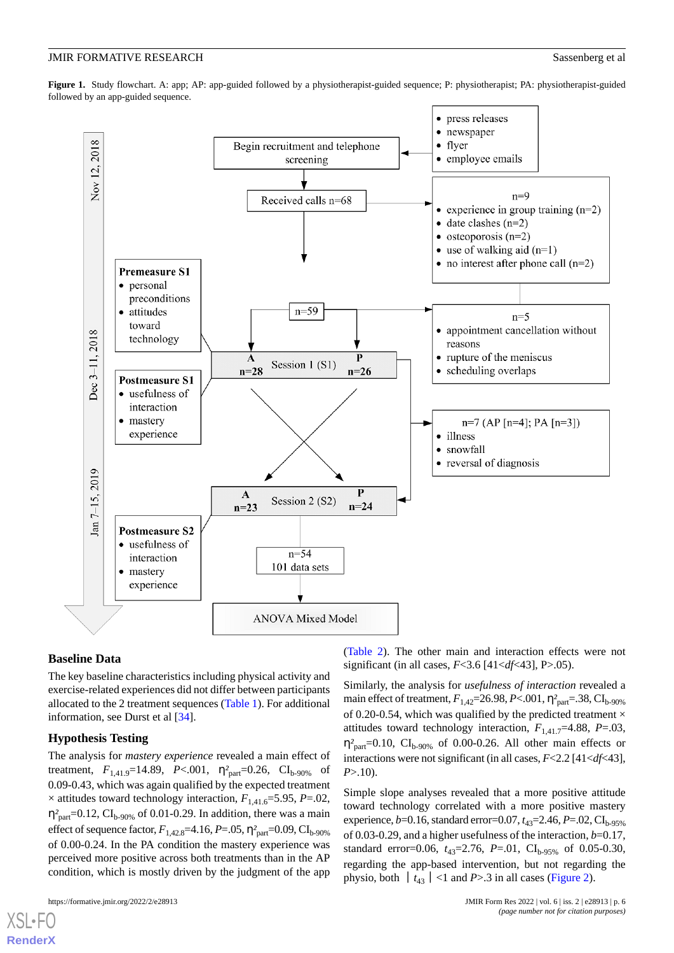<span id="page-5-0"></span>**Figure 1.** Study flowchart. A: app; AP: app-guided followed by a physiotherapist-guided sequence; P: physiotherapist; PA: physiotherapist-guided followed by an app-guided sequence.



#### **Baseline Data**

The key baseline characteristics including physical activity and exercise-related experiences did not differ between participants allocated to the 2 treatment sequences [\(Table 1\)](#page-3-0). For additional information, see Durst et al [[34\]](#page-9-18).

#### **Hypothesis Testing**

The analysis for *mastery experience* revealed a main effect of treatment,  $F_{1,41.9}$ =14.89, *P*<.001,  $\eta_{part}^2$ =0.26, CI<sub>b-90%</sub> of 0.09-0.43, which was again qualified by the expected treatment  $\times$  attitudes toward technology interaction,  $F_{1,41,6}=5.95, P=0.02$ ,  $\eta_{part}^2$ =0.12, CI<sub>b-90%</sub> of 0.01-0.29. In addition, there was a main effect of sequence factor,  $F_{1,42.8}$ =4.16,  $P = .05$ ,  $\eta_{part}^2 = 0.09$ ,  $CI_{b-90\%}$ of 0.00-0.24. In the PA condition the mastery experience was perceived more positive across both treatments than in the AP condition, which is mostly driven by the judgment of the app

([Table 2](#page-4-0)). The other main and interaction effects were not significant (in all cases, *F*<3.6 [41<*df*<43], P>.05).

Similarly, the analysis for *usefulness of interaction* revealed a main effect of treatment,  $F_{1,42}$ =26.98, *P*<.001,  $\eta_{part}^2$ =.38, CI<sub>b-90%</sub> of 0.20-0.54, which was qualified by the predicted treatment  $\times$ attitudes toward technology interaction,  $F_{1,41,7}=4.88$ ,  $P=03$ ,  $\eta_{part}^2$ =0.10, CI<sub>b-90%</sub> of 0.00-0.26. All other main effects or interactions were not significant (in all cases, *F*<2.2 [41<*df*<43], *P*>.10).

Simple slope analyses revealed that a more positive attitude toward technology correlated with a more positive mastery experience,  $b=0.16$ , standard error=0.07,  $t_{43}=2.46$ ,  $P=.02$ ,  $CI_{b-95\%}$ of 0.03-0.29, and a higher usefulness of the interaction, *b*=0.17, standard error=0.06,  $t_{43}$ =2.76,  $P$ =.01,  $CI_{b-95\%}$  of 0.05-0.30, regarding the app-based intervention, but not regarding the physio, both  $|t_{43}|$ <1 and *P*>.3 in all cases ([Figure 2](#page-6-0)).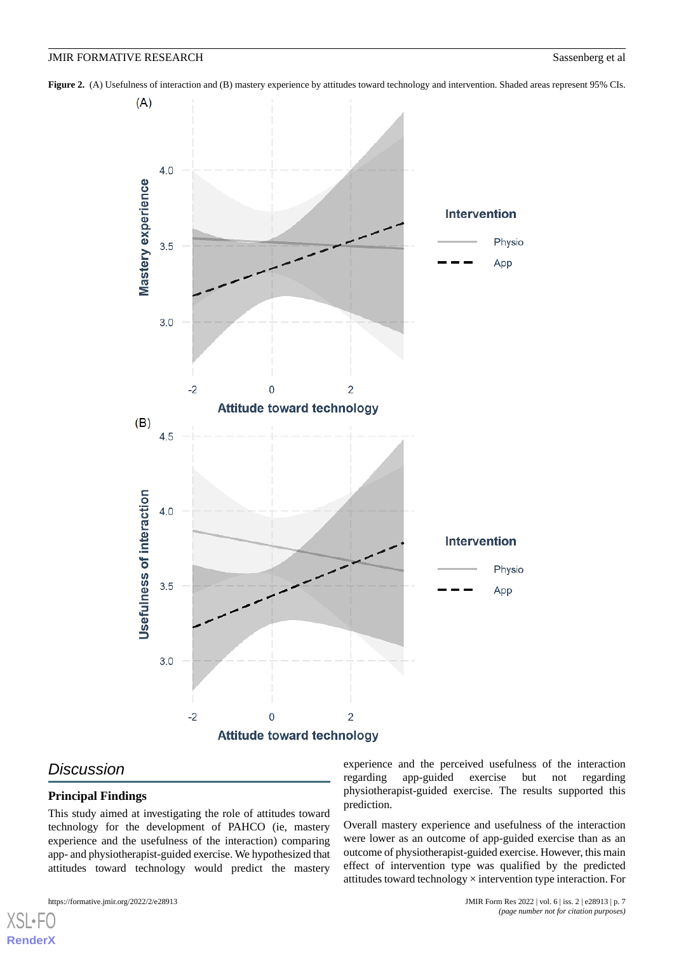<span id="page-6-0"></span>**Figure 2.** (A) Usefulness of interaction and (B) mastery experience by attitudes toward technology and intervention. Shaded areas represent 95% CIs.



#### *Discussion*

[XSL](http://www.w3.org/Style/XSL)•F **[RenderX](http://www.renderx.com/)**

#### **Principal Findings**

This study aimed at investigating the role of attitudes toward technology for the development of PAHCO (ie, mastery experience and the usefulness of the interaction) comparing app- and physiotherapist-guided exercise. We hypothesized that attitudes toward technology would predict the mastery

experience and the perceived usefulness of the interaction regarding app-guided exercise but not regarding physiotherapist-guided exercise. The results supported this prediction.

Overall mastery experience and usefulness of the interaction were lower as an outcome of app-guided exercise than as an outcome of physiotherapist-guided exercise. However, this main effect of intervention type was qualified by the predicted attitudes toward technology × intervention type interaction. For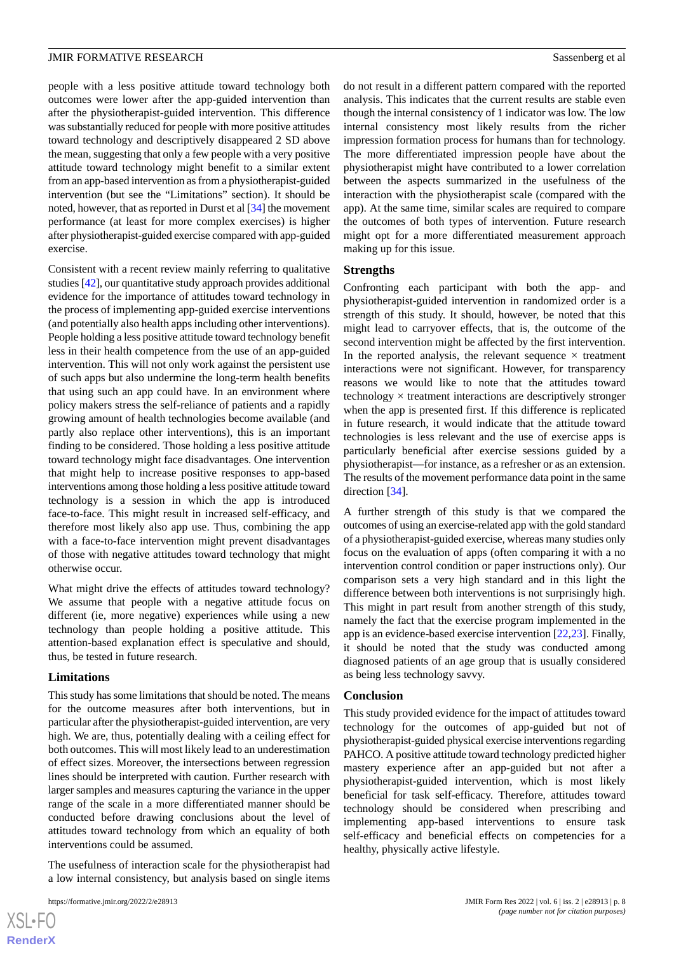people with a less positive attitude toward technology both outcomes were lower after the app-guided intervention than after the physiotherapist-guided intervention. This difference was substantially reduced for people with more positive attitudes toward technology and descriptively disappeared 2 SD above the mean, suggesting that only a few people with a very positive attitude toward technology might benefit to a similar extent from an app-based intervention as from a physiotherapist-guided intervention (but see the "Limitations" section). It should be noted, however, that as reported in Durst et al [[34](#page-9-18)] the movement performance (at least for more complex exercises) is higher after physiotherapist-guided exercise compared with app-guided exercise.

Consistent with a recent review mainly referring to qualitative studies [\[42\]](#page-10-6), our quantitative study approach provides additional evidence for the importance of attitudes toward technology in the process of implementing app-guided exercise interventions (and potentially also health apps including other interventions). People holding a less positive attitude toward technology benefit less in their health competence from the use of an app-guided intervention. This will not only work against the persistent use of such apps but also undermine the long-term health benefits that using such an app could have. In an environment where policy makers stress the self-reliance of patients and a rapidly growing amount of health technologies become available (and partly also replace other interventions), this is an important finding to be considered. Those holding a less positive attitude toward technology might face disadvantages. One intervention that might help to increase positive responses to app-based interventions among those holding a less positive attitude toward technology is a session in which the app is introduced face-to-face. This might result in increased self-efficacy, and therefore most likely also app use. Thus, combining the app with a face-to-face intervention might prevent disadvantages of those with negative attitudes toward technology that might otherwise occur.

What might drive the effects of attitudes toward technology? We assume that people with a negative attitude focus on different (ie, more negative) experiences while using a new technology than people holding a positive attitude. This attention-based explanation effect is speculative and should, thus, be tested in future research.

#### **Limitations**

This study has some limitations that should be noted. The means for the outcome measures after both interventions, but in particular after the physiotherapist-guided intervention, are very high. We are, thus, potentially dealing with a ceiling effect for both outcomes. This will most likely lead to an underestimation of effect sizes. Moreover, the intersections between regression lines should be interpreted with caution. Further research with larger samples and measures capturing the variance in the upper range of the scale in a more differentiated manner should be conducted before drawing conclusions about the level of attitudes toward technology from which an equality of both interventions could be assumed.

The usefulness of interaction scale for the physiotherapist had a low internal consistency, but analysis based on single items

 $XS$ -FO **[RenderX](http://www.renderx.com/)** do not result in a different pattern compared with the reported analysis. This indicates that the current results are stable even though the internal consistency of 1 indicator was low. The low internal consistency most likely results from the richer impression formation process for humans than for technology. The more differentiated impression people have about the physiotherapist might have contributed to a lower correlation between the aspects summarized in the usefulness of the interaction with the physiotherapist scale (compared with the app). At the same time, similar scales are required to compare the outcomes of both types of intervention. Future research might opt for a more differentiated measurement approach making up for this issue.

#### **Strengths**

Confronting each participant with both the app- and physiotherapist-guided intervention in randomized order is a strength of this study. It should, however, be noted that this might lead to carryover effects, that is, the outcome of the second intervention might be affected by the first intervention. In the reported analysis, the relevant sequence  $\times$  treatment interactions were not significant. However, for transparency reasons we would like to note that the attitudes toward technology  $\times$  treatment interactions are descriptively stronger when the app is presented first. If this difference is replicated in future research, it would indicate that the attitude toward technologies is less relevant and the use of exercise apps is particularly beneficial after exercise sessions guided by a physiotherapist—for instance, as a refresher or as an extension. The results of the movement performance data point in the same direction [\[34](#page-9-18)].

A further strength of this study is that we compared the outcomes of using an exercise-related app with the gold standard of a physiotherapist-guided exercise, whereas many studies only focus on the evaluation of apps (often comparing it with a no intervention control condition or paper instructions only). Our comparison sets a very high standard and in this light the difference between both interventions is not surprisingly high. This might in part result from another strength of this study, namely the fact that the exercise program implemented in the app is an evidence-based exercise intervention [\[22](#page-9-6),[23\]](#page-9-7). Finally, it should be noted that the study was conducted among diagnosed patients of an age group that is usually considered as being less technology savvy.

#### **Conclusion**

This study provided evidence for the impact of attitudes toward technology for the outcomes of app-guided but not of physiotherapist-guided physical exercise interventions regarding PAHCO. A positive attitude toward technology predicted higher mastery experience after an app-guided but not after a physiotherapist-guided intervention, which is most likely beneficial for task self-efficacy. Therefore, attitudes toward technology should be considered when prescribing and implementing app-based interventions to ensure task self-efficacy and beneficial effects on competencies for a healthy, physically active lifestyle.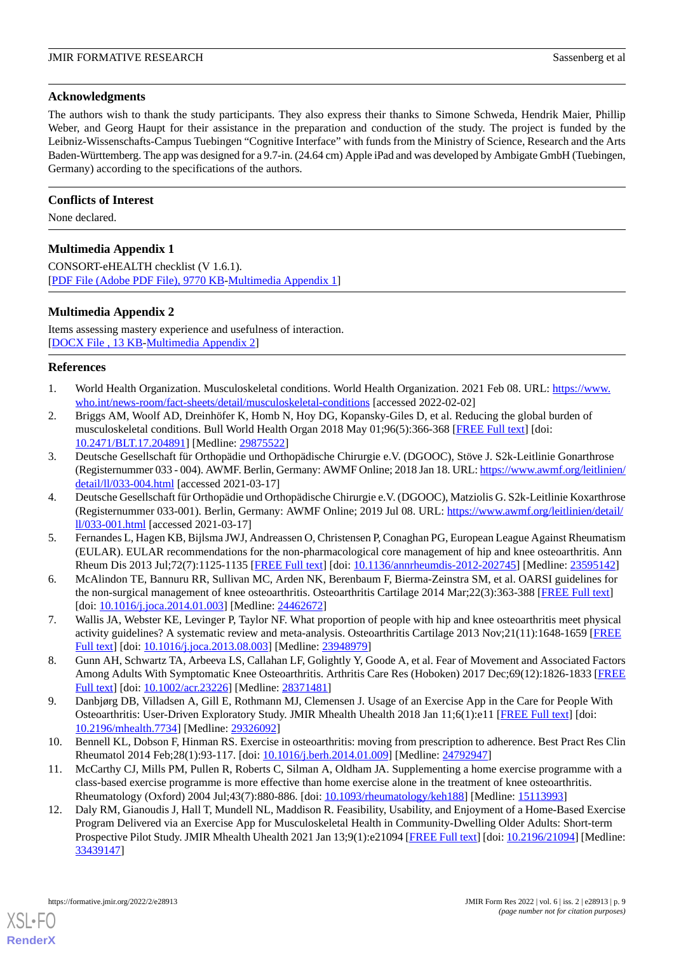#### **Acknowledgments**

The authors wish to thank the study participants. They also express their thanks to Simone Schweda, Hendrik Maier, Phillip Weber, and Georg Haupt for their assistance in the preparation and conduction of the study. The project is funded by the Leibniz-Wissenschafts-Campus Tuebingen "Cognitive Interface" with funds from the Ministry of Science, Research and the Arts Baden-Württemberg. The app was designed for a 9.7-in. (24.64 cm) Apple iPad and was developed by Ambigate GmbH (Tuebingen, Germany) according to the specifications of the authors.

#### **Conflicts of Interest**

<span id="page-8-11"></span>None declared.

#### **Multimedia Appendix 1**

<span id="page-8-12"></span>CONSORT-eHEALTH checklist (V 1.6.1). [[PDF File \(Adobe PDF File\), 9770 KB](https://jmir.org/api/download?alt_name=formative_v6i2e28913_app1.pdf&filename=71c23a569d984108df2023200f8cb49f.pdf)-[Multimedia Appendix 1\]](https://jmir.org/api/download?alt_name=formative_v6i2e28913_app1.pdf&filename=71c23a569d984108df2023200f8cb49f.pdf)

#### **Multimedia Appendix 2**

Items assessing mastery experience and usefulness of interaction. [[DOCX File , 13 KB](https://jmir.org/api/download?alt_name=formative_v6i2e28913_app2.docx&filename=f436392268362088adcae5b8b2fd0e5c.docx)-[Multimedia Appendix 2\]](https://jmir.org/api/download?alt_name=formative_v6i2e28913_app2.docx&filename=f436392268362088adcae5b8b2fd0e5c.docx)

#### <span id="page-8-1"></span><span id="page-8-0"></span>**References**

- 1. World Health Organization. Musculoskeletal conditions. World Health Organization. 2021 Feb 08. URL: [https://www.](https://www.who.int/news-room/fact-sheets/detail/musculoskeletal-conditions) [who.int/news-room/fact-sheets/detail/musculoskeletal-conditions](https://www.who.int/news-room/fact-sheets/detail/musculoskeletal-conditions) [accessed 2022-02-02]
- <span id="page-8-2"></span>2. Briggs AM, Woolf AD, Dreinhöfer K, Homb N, Hoy DG, Kopansky-Giles D, et al. Reducing the global burden of musculoskeletal conditions. Bull World Health Organ 2018 May 01;96(5):366-368 [\[FREE Full text\]](http://europepmc.org/abstract/MED/29875522) [doi: [10.2471/BLT.17.204891](http://dx.doi.org/10.2471/BLT.17.204891)] [Medline: [29875522\]](http://www.ncbi.nlm.nih.gov/entrez/query.fcgi?cmd=Retrieve&db=PubMed&list_uids=29875522&dopt=Abstract)
- 3. Deutsche Gesellschaft für Orthopädie und Orthopädische Chirurgie e.V. (DGOOC), Stöve J. S2k-Leitlinie Gonarthrose (Registernummer 033 - 004). AWMF. Berlin, Germany: AWMF Online; 2018 Jan 18. URL: [https://www.awmf.org/leitlinien/](https://www.awmf.org/leitlinien/detail/ll/033-004.html) [detail/ll/033-004.html](https://www.awmf.org/leitlinien/detail/ll/033-004.html) [accessed 2021-03-17]
- <span id="page-8-9"></span>4. Deutsche Gesellschaft für Orthopädie und Orthopädische Chirurgie e.V. (DGOOC), Matziolis G. S2k-Leitlinie Koxarthrose (Registernummer 033-001). Berlin, Germany: AWMF Online; 2019 Jul 08. URL: [https://www.awmf.org/leitlinien/detail/](https://www.awmf.org/leitlinien/detail/ll/033-001.html) [ll/033-001.html](https://www.awmf.org/leitlinien/detail/ll/033-001.html) [accessed 2021-03-17]
- <span id="page-8-4"></span><span id="page-8-3"></span>5. Fernandes L, Hagen KB, Bijlsma JWJ, Andreassen O, Christensen P, Conaghan PG, European League Against Rheumatism (EULAR). EULAR recommendations for the non-pharmacological core management of hip and knee osteoarthritis. Ann Rheum Dis 2013 Jul;72(7):1125-1135 [[FREE Full text](https://ard.bmj.com/lookup/pmidlookup?view=long&pmid=23595142)] [doi: [10.1136/annrheumdis-2012-202745](http://dx.doi.org/10.1136/annrheumdis-2012-202745)] [Medline: [23595142\]](http://www.ncbi.nlm.nih.gov/entrez/query.fcgi?cmd=Retrieve&db=PubMed&list_uids=23595142&dopt=Abstract)
- <span id="page-8-5"></span>6. McAlindon TE, Bannuru RR, Sullivan MC, Arden NK, Berenbaum F, Bierma-Zeinstra SM, et al. OARSI guidelines for the non-surgical management of knee osteoarthritis. Osteoarthritis Cartilage 2014 Mar;22(3):363-388 [\[FREE Full text\]](https://linkinghub.elsevier.com/retrieve/pii/S1063-4584(14)00016-8) [doi: [10.1016/j.joca.2014.01.003\]](http://dx.doi.org/10.1016/j.joca.2014.01.003) [Medline: [24462672](http://www.ncbi.nlm.nih.gov/entrez/query.fcgi?cmd=Retrieve&db=PubMed&list_uids=24462672&dopt=Abstract)]
- <span id="page-8-6"></span>7. Wallis JA, Webster KE, Levinger P, Taylor NF. What proportion of people with hip and knee osteoarthritis meet physical activity guidelines? A systematic review and meta-analysis. Osteoarthritis Cartilage 2013 Nov;21(11):1648-1659 [\[FREE](https://linkinghub.elsevier.com/retrieve/pii/S1063-4584(13)00906-0) [Full text\]](https://linkinghub.elsevier.com/retrieve/pii/S1063-4584(13)00906-0) [doi: [10.1016/j.joca.2013.08.003\]](http://dx.doi.org/10.1016/j.joca.2013.08.003) [Medline: [23948979\]](http://www.ncbi.nlm.nih.gov/entrez/query.fcgi?cmd=Retrieve&db=PubMed&list_uids=23948979&dopt=Abstract)
- <span id="page-8-7"></span>8. Gunn AH, Schwartz TA, Arbeeva LS, Callahan LF, Golightly Y, Goode A, et al. Fear of Movement and Associated Factors Among Adults With Symptomatic Knee Osteoarthritis. Arthritis Care Res (Hoboken) 2017 Dec;69(12):1826-1833 [\[FREE](http://europepmc.org/abstract/MED/28371481) [Full text\]](http://europepmc.org/abstract/MED/28371481) [doi: [10.1002/acr.23226\]](http://dx.doi.org/10.1002/acr.23226) [Medline: [28371481](http://www.ncbi.nlm.nih.gov/entrez/query.fcgi?cmd=Retrieve&db=PubMed&list_uids=28371481&dopt=Abstract)]
- <span id="page-8-8"></span>9. Danbjørg DB, Villadsen A, Gill E, Rothmann MJ, Clemensen J. Usage of an Exercise App in the Care for People With Osteoarthritis: User-Driven Exploratory Study. JMIR Mhealth Uhealth 2018 Jan 11;6(1):e11 [\[FREE Full text\]](https://mhealth.jmir.org/2018/1/e11/) [doi: [10.2196/mhealth.7734](http://dx.doi.org/10.2196/mhealth.7734)] [Medline: [29326092](http://www.ncbi.nlm.nih.gov/entrez/query.fcgi?cmd=Retrieve&db=PubMed&list_uids=29326092&dopt=Abstract)]
- <span id="page-8-10"></span>10. Bennell KL, Dobson F, Hinman RS. Exercise in osteoarthritis: moving from prescription to adherence. Best Pract Res Clin Rheumatol 2014 Feb;28(1):93-117. [doi: [10.1016/j.berh.2014.01.009](http://dx.doi.org/10.1016/j.berh.2014.01.009)] [Medline: [24792947\]](http://www.ncbi.nlm.nih.gov/entrez/query.fcgi?cmd=Retrieve&db=PubMed&list_uids=24792947&dopt=Abstract)
- 11. McCarthy CJ, Mills PM, Pullen R, Roberts C, Silman A, Oldham JA. Supplementing a home exercise programme with a class-based exercise programme is more effective than home exercise alone in the treatment of knee osteoarthritis. Rheumatology (Oxford) 2004 Jul;43(7):880-886. [doi: [10.1093/rheumatology/keh188](http://dx.doi.org/10.1093/rheumatology/keh188)] [Medline: [15113993\]](http://www.ncbi.nlm.nih.gov/entrez/query.fcgi?cmd=Retrieve&db=PubMed&list_uids=15113993&dopt=Abstract)
- 12. Daly RM, Gianoudis J, Hall T, Mundell NL, Maddison R. Feasibility, Usability, and Enjoyment of a Home-Based Exercise Program Delivered via an Exercise App for Musculoskeletal Health in Community-Dwelling Older Adults: Short-term Prospective Pilot Study. JMIR Mhealth Uhealth 2021 Jan 13;9(1):e21094 [[FREE Full text](https://mhealth.jmir.org/2021/1/e21094/)] [doi: [10.2196/21094\]](http://dx.doi.org/10.2196/21094) [Medline: [33439147](http://www.ncbi.nlm.nih.gov/entrez/query.fcgi?cmd=Retrieve&db=PubMed&list_uids=33439147&dopt=Abstract)]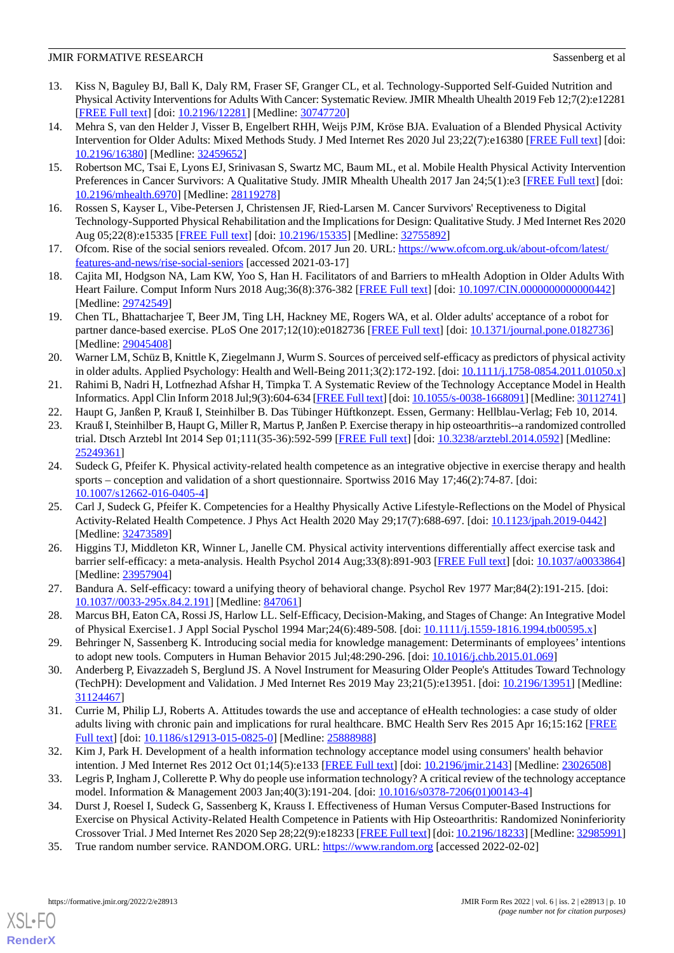- 13. Kiss N, Baguley BJ, Ball K, Daly RM, Fraser SF, Granger CL, et al. Technology-Supported Self-Guided Nutrition and Physical Activity Interventions for Adults With Cancer: Systematic Review. JMIR Mhealth Uhealth 2019 Feb 12;7(2):e12281 [[FREE Full text](https://mhealth.jmir.org/2019/2/e12281/)] [doi: [10.2196/12281\]](http://dx.doi.org/10.2196/12281) [Medline: [30747720\]](http://www.ncbi.nlm.nih.gov/entrez/query.fcgi?cmd=Retrieve&db=PubMed&list_uids=30747720&dopt=Abstract)
- 14. Mehra S, van den Helder J, Visser B, Engelbert RHH, Weijs PJM, Kröse BJA. Evaluation of a Blended Physical Activity Intervention for Older Adults: Mixed Methods Study. J Med Internet Res 2020 Jul 23;22(7):e16380 [\[FREE Full text](https://www.jmir.org/2020/7/e16380/)] [doi: [10.2196/16380\]](http://dx.doi.org/10.2196/16380) [Medline: [32459652\]](http://www.ncbi.nlm.nih.gov/entrez/query.fcgi?cmd=Retrieve&db=PubMed&list_uids=32459652&dopt=Abstract)
- 15. Robertson MC, Tsai E, Lyons EJ, Srinivasan S, Swartz MC, Baum ML, et al. Mobile Health Physical Activity Intervention Preferences in Cancer Survivors: A Qualitative Study. JMIR Mhealth Uhealth 2017 Jan 24;5(1):e3 [[FREE Full text\]](https://mhealth.jmir.org/2017/1/e3/) [doi: [10.2196/mhealth.6970](http://dx.doi.org/10.2196/mhealth.6970)] [Medline: [28119278](http://www.ncbi.nlm.nih.gov/entrez/query.fcgi?cmd=Retrieve&db=PubMed&list_uids=28119278&dopt=Abstract)]
- <span id="page-9-1"></span><span id="page-9-0"></span>16. Rossen S, Kayser L, Vibe-Petersen J, Christensen JF, Ried-Larsen M. Cancer Survivors' Receptiveness to Digital Technology-Supported Physical Rehabilitation and the Implications for Design: Qualitative Study. J Med Internet Res 2020 Aug 05;22(8):e15335 [[FREE Full text](https://www.jmir.org/2020/8/e15335/)] [doi: [10.2196/15335\]](http://dx.doi.org/10.2196/15335) [Medline: [32755892](http://www.ncbi.nlm.nih.gov/entrez/query.fcgi?cmd=Retrieve&db=PubMed&list_uids=32755892&dopt=Abstract)]
- <span id="page-9-2"></span>17. Ofcom. Rise of the social seniors revealed. Ofcom. 2017 Jun 20. URL: [https://www.ofcom.org.uk/about-ofcom/latest/](https://www.ofcom.org.uk/about-ofcom/latest/features-and-news/rise-social-seniors) [features-and-news/rise-social-seniors](https://www.ofcom.org.uk/about-ofcom/latest/features-and-news/rise-social-seniors) [accessed 2021-03-17]
- <span id="page-9-3"></span>18. Cajita MI, Hodgson NA, Lam KW, Yoo S, Han H. Facilitators of and Barriers to mHealth Adoption in Older Adults With Heart Failure. Comput Inform Nurs 2018 Aug;36(8):376-382 [[FREE Full text\]](http://europepmc.org/abstract/MED/29742549) [doi: 10.1097/CIN.000000000000442] [Medline: [29742549](http://www.ncbi.nlm.nih.gov/entrez/query.fcgi?cmd=Retrieve&db=PubMed&list_uids=29742549&dopt=Abstract)]
- <span id="page-9-4"></span>19. Chen TL, Bhattacharjee T, Beer JM, Ting LH, Hackney ME, Rogers WA, et al. Older adults' acceptance of a robot for partner dance-based exercise. PLoS One 2017;12(10):e0182736 [\[FREE Full text](https://dx.plos.org/10.1371/journal.pone.0182736)] [doi: [10.1371/journal.pone.0182736\]](http://dx.doi.org/10.1371/journal.pone.0182736) [Medline: [29045408](http://www.ncbi.nlm.nih.gov/entrez/query.fcgi?cmd=Retrieve&db=PubMed&list_uids=29045408&dopt=Abstract)]
- <span id="page-9-6"></span><span id="page-9-5"></span>20. Warner LM, Schüz B, Knittle K, Ziegelmann J, Wurm S. Sources of perceived self-efficacy as predictors of physical activity in older adults. Applied Psychology: Health and Well-Being 2011;3(2):172-192. [doi: [10.1111/j.1758-0854.2011.01050.x](http://dx.doi.org/10.1111/j.1758-0854.2011.01050.x)]
- <span id="page-9-7"></span>21. Rahimi B, Nadri H, Lotfnezhad Afshar H, Timpka T. A Systematic Review of the Technology Acceptance Model in Health Informatics. Appl Clin Inform 2018 Jul;9(3):604-634 [[FREE Full text](http://europepmc.org/abstract/MED/30112741)] [doi: [10.1055/s-0038-1668091\]](http://dx.doi.org/10.1055/s-0038-1668091) [Medline: [30112741\]](http://www.ncbi.nlm.nih.gov/entrez/query.fcgi?cmd=Retrieve&db=PubMed&list_uids=30112741&dopt=Abstract)
- 22. Haupt G, Janßen P, Krauß I, Steinhilber B. Das Tübinger Hüftkonzept. Essen, Germany: Hellblau-Verlag; Feb 10, 2014.
- <span id="page-9-8"></span>23. Krauß I, Steinhilber B, Haupt G, Miller R, Martus P, Janßen P. Exercise therapy in hip osteoarthritis--a randomized controlled trial. Dtsch Arztebl Int 2014 Sep 01;111(35-36):592-599 [\[FREE Full text\]](https://doi.org/10.3238/arztebl.2014.0592) [doi: [10.3238/arztebl.2014.0592](http://dx.doi.org/10.3238/arztebl.2014.0592)] [Medline: [25249361](http://www.ncbi.nlm.nih.gov/entrez/query.fcgi?cmd=Retrieve&db=PubMed&list_uids=25249361&dopt=Abstract)]
- <span id="page-9-9"></span>24. Sudeck G, Pfeifer K. Physical activity-related health competence as an integrative objective in exercise therapy and health sports – conception and validation of a short questionnaire. Sportwiss 2016 May 17;46(2):74-87. [doi: [10.1007/s12662-016-0405-4\]](http://dx.doi.org/10.1007/s12662-016-0405-4)
- <span id="page-9-10"></span>25. Carl J, Sudeck G, Pfeifer K. Competencies for a Healthy Physically Active Lifestyle-Reflections on the Model of Physical Activity-Related Health Competence. J Phys Act Health 2020 May 29;17(7):688-697. [doi: [10.1123/jpah.2019-0442\]](http://dx.doi.org/10.1123/jpah.2019-0442) [Medline: [32473589](http://www.ncbi.nlm.nih.gov/entrez/query.fcgi?cmd=Retrieve&db=PubMed&list_uids=32473589&dopt=Abstract)]
- <span id="page-9-12"></span><span id="page-9-11"></span>26. Higgins TJ, Middleton KR, Winner L, Janelle CM. Physical activity interventions differentially affect exercise task and barrier self-efficacy: a meta-analysis. Health Psychol 2014 Aug;33(8):891-903 [[FREE Full text](http://europepmc.org/abstract/MED/23957904)] [doi: [10.1037/a0033864](http://dx.doi.org/10.1037/a0033864)] [Medline: [23957904](http://www.ncbi.nlm.nih.gov/entrez/query.fcgi?cmd=Retrieve&db=PubMed&list_uids=23957904&dopt=Abstract)]
- <span id="page-9-13"></span>27. Bandura A. Self-efficacy: toward a unifying theory of behavioral change. Psychol Rev 1977 Mar;84(2):191-215. [doi: [10.1037//0033-295x.84.2.191](http://dx.doi.org/10.1037//0033-295x.84.2.191)] [Medline: [847061](http://www.ncbi.nlm.nih.gov/entrez/query.fcgi?cmd=Retrieve&db=PubMed&list_uids=847061&dopt=Abstract)]
- <span id="page-9-14"></span>28. Marcus BH, Eaton CA, Rossi JS, Harlow LL. Self-Efficacy, Decision-Making, and Stages of Change: An Integrative Model of Physical Exercise1. J Appl Social Pyschol 1994 Mar;24(6):489-508. [doi: [10.1111/j.1559-1816.1994.tb00595.x\]](http://dx.doi.org/10.1111/j.1559-1816.1994.tb00595.x)
- <span id="page-9-15"></span>29. Behringer N, Sassenberg K. Introducing social media for knowledge management: Determinants of employees' intentions to adopt new tools. Computers in Human Behavior 2015 Jul;48:290-296. [doi: [10.1016/j.chb.2015.01.069](http://dx.doi.org/10.1016/j.chb.2015.01.069)]
- <span id="page-9-16"></span>30. Anderberg P, Eivazzadeh S, Berglund JS. A Novel Instrument for Measuring Older People's Attitudes Toward Technology (TechPH): Development and Validation. J Med Internet Res 2019 May 23;21(5):e13951. [doi: [10.2196/13951](http://dx.doi.org/10.2196/13951)] [Medline: [31124467](http://www.ncbi.nlm.nih.gov/entrez/query.fcgi?cmd=Retrieve&db=PubMed&list_uids=31124467&dopt=Abstract)]
- <span id="page-9-18"></span><span id="page-9-17"></span>31. Currie M, Philip LJ, Roberts A. Attitudes towards the use and acceptance of eHealth technologies: a case study of older adults living with chronic pain and implications for rural healthcare. BMC Health Serv Res 2015 Apr 16;15:162 [[FREE](https://bmchealthservres.biomedcentral.com/articles/10.1186/s12913-015-0825-0) [Full text\]](https://bmchealthservres.biomedcentral.com/articles/10.1186/s12913-015-0825-0) [doi: [10.1186/s12913-015-0825-0](http://dx.doi.org/10.1186/s12913-015-0825-0)] [Medline: [25888988](http://www.ncbi.nlm.nih.gov/entrez/query.fcgi?cmd=Retrieve&db=PubMed&list_uids=25888988&dopt=Abstract)]
- <span id="page-9-19"></span>32. Kim J, Park H. Development of a health information technology acceptance model using consumers' health behavior intention. J Med Internet Res 2012 Oct 01;14(5):e133 [\[FREE Full text\]](https://www.jmir.org/2012/5/e133/) [doi: [10.2196/jmir.2143\]](http://dx.doi.org/10.2196/jmir.2143) [Medline: [23026508\]](http://www.ncbi.nlm.nih.gov/entrez/query.fcgi?cmd=Retrieve&db=PubMed&list_uids=23026508&dopt=Abstract)
- 33. Legris P, Ingham J, Collerette P. Why do people use information technology? A critical review of the technology acceptance model. Information & Management 2003 Jan;40(3):191-204. [doi: [10.1016/s0378-7206\(01\)00143-4](http://dx.doi.org/10.1016/s0378-7206(01)00143-4)]
- 34. Durst J, Roesel I, Sudeck G, Sassenberg K, Krauss I. Effectiveness of Human Versus Computer-Based Instructions for Exercise on Physical Activity-Related Health Competence in Patients with Hip Osteoarthritis: Randomized Noninferiority Crossover Trial. J Med Internet Res 2020 Sep 28;22(9):e18233 [\[FREE Full text](https://www.jmir.org/2020/9/e18233/)] [doi: [10.2196/18233](http://dx.doi.org/10.2196/18233)] [Medline: [32985991\]](http://www.ncbi.nlm.nih.gov/entrez/query.fcgi?cmd=Retrieve&db=PubMed&list_uids=32985991&dopt=Abstract)
- 35. True random number service. RANDOM.ORG. URL:<https://www.random.org> [accessed 2022-02-02]